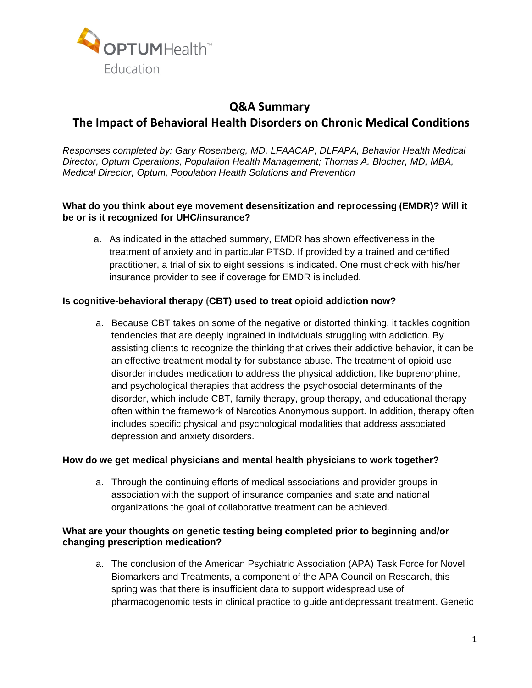

# **Q&A Summary The Impact of Behavioral Health Disorders on Chronic Medical Conditions**

*Responses completed by: Gary Rosenberg, MD, LFAACAP, DLFAPA, Behavior Health Medical Director, Optum Operations, Population Health Management; Thomas A. Blocher, MD, MBA, Medical Director, Optum, Population Health Solutions and Prevention* 

## **What do you think about eye movement desensitization and reprocessing (EMDR)? Will it be or is it recognized for UHC/insurance?**

a. As indicated in the attached summary, EMDR has shown effectiveness in the treatment of anxiety and in particular PTSD. If provided by a trained and certified practitioner, a trial of six to eight sessions is indicated. One must check with his/her insurance provider to see if coverage for EMDR is included.

#### **Is cognitive-behavioral therapy (CBT) used to treat opioid addiction now?**

a. Because CBT takes on some of the negative or distorted thinking, it tackles cognition tendencies that are deeply ingrained in individuals struggling with addiction. By assisting clients to recognize the thinking that drives their addictive behavior, it can be an effective treatment modality for substance abuse. The treatment of opioid use disorder includes medication to address the physical addiction, like buprenorphine, and psychological therapies that address the psychosocial determinants of the disorder, which include CBT, family therapy, group therapy, and educational therapy often within the framework of Narcotics Anonymous support. In addition, therapy often includes specific physical and psychological modalities that address associated depression and anxiety disorders.

#### **How do we get medical physicians and mental health physicians to work together?**

a. Through the continuing efforts of medical associations and provider groups in association with the support of insurance companies and state and national organizations the goal of collaborative treatment can be achieved.

#### **What are your thoughts on genetic testing being completed prior to beginning and/or changing prescription medication?**

a. The conclusion of the American Psychiatric Association (APA) Task Force for Novel Biomarkers and Treatments, a component of the APA Council on Research, this spring was that there is insufficient data to support widespread use of pharmacogenomic tests in clinical practice to guide antidepressant treatment. Genetic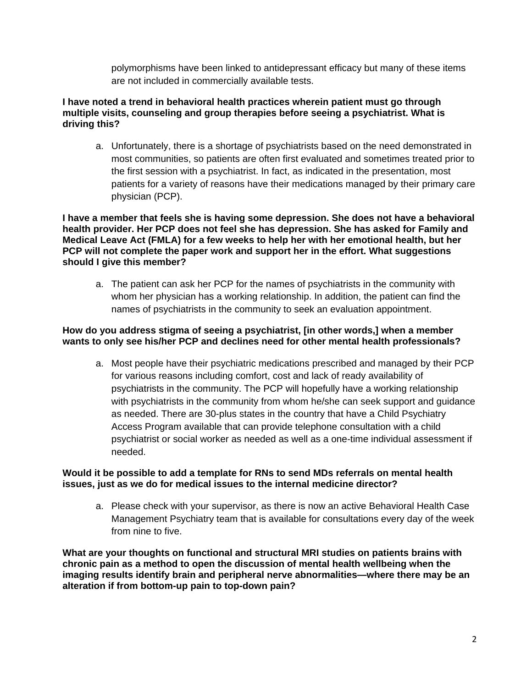polymorphisms have been linked to antidepressant efficacy but many of these items are not included in commercially available tests.

### **I have noted a trend in behavioral health practices wherein patient must go through multiple visits, counseling and group therapies before seeing a psychiatrist. What is driving this?**

a. Unfortunately, there is a shortage of psychiatrists based on the need demonstrated in most communities, so patients are often first evaluated and sometimes treated prior to the first session with a psychiatrist. In fact, as indicated in the presentation, most patients for a variety of reasons have their medications managed by their primary care physician (PCP).

**I have a member that feels she is having some depression. She does not have a behavioral health provider. Her PCP does not feel she has depression. She has asked for Family and Medical Leave Act (FMLA) for a few weeks to help her with her emotional health, but her PCP will not complete the paper work and support her in the effort. What suggestions should I give this member?** 

a. The patient can ask her PCP for the names of psychiatrists in the community with whom her physician has a working relationship. In addition, the patient can find the names of psychiatrists in the community to seek an evaluation appointment.

## **How do you address stigma of seeing a psychiatrist, [in other words,] when a member wants to only see his/her PCP and declines need for other mental health professionals?**

a. Most people have their psychiatric medications prescribed and managed by their PCP for various reasons including comfort, cost and lack of ready availability of psychiatrists in the community. The PCP will hopefully have a working relationship with psychiatrists in the community from whom he/she can seek support and guidance as needed. There are 30-plus states in the country that have a Child Psychiatry Access Program available that can provide telephone consultation with a child psychiatrist or social worker as needed as well as a one-time individual assessment if needed.

## **Would it be possible to add a template for RNs to send MDs referrals on mental health issues, just as we do for medical issues to the internal medicine director?**

a. Please check with your supervisor, as there is now an active Behavioral Health Case Management Psychiatry team that is available for consultations every day of the week from nine to five.

**What are your thoughts on functional and structural MRI studies on patients brains with chronic pain as a method to open the discussion of mental health wellbeing when the imaging results identify brain and peripheral nerve abnormalities—where there may be an alteration if from bottom-up pain to top-down pain?**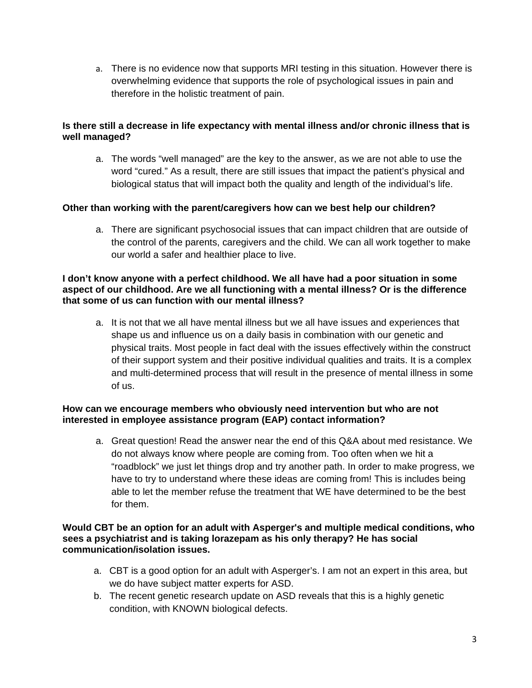a. There is no evidence now that supports MRI testing in this situation. However there is overwhelming evidence that supports the role of psychological issues in pain and therefore in the holistic treatment of pain.

## **Is there still a decrease in life expectancy with mental illness and/or chronic illness that is well managed?**

a. The words "well managed" are the key to the answer, as we are not able to use the word "cured." As a result, there are still issues that impact the patient's physical and biological status that will impact both the quality and length of the individual's life.

## **Other than working with the parent/caregivers how can we best help our children?**

a. There are significant psychosocial issues that can impact children that are outside of the control of the parents, caregivers and the child. We can all work together to make our world a safer and healthier place to live.

#### **I don't know anyone with a perfect childhood. We all have had a poor situation in some aspect of our childhood. Are we all functioning with a mental illness? Or is the difference that some of us can function with our mental illness?**

a. It is not that we all have mental illness but we all have issues and experiences that shape us and influence us on a daily basis in combination with our genetic and physical traits. Most people in fact deal with the issues effectively within the construct of their support system and their positive individual qualities and traits. It is a complex and multi-determined process that will result in the presence of mental illness in some of us.

## **How can we encourage members who obviously need intervention but who are not interested in employee assistance program (EAP) contact information?**

a. Great question! Read the answer near the end of this Q&A about med resistance. We do not always know where people are coming from. Too often when we hit a "roadblock" we just let things drop and try another path. In order to make progress, we have to try to understand where these ideas are coming from! This is includes being able to let the member refuse the treatment that WE have determined to be the best for them.

#### **Would CBT be an option for an adult with Asperger's and multiple medical conditions, who sees a psychiatrist and is taking lorazepam as his only therapy? He has social communication/isolation issues.**

- a. CBT is a good option for an adult with Asperger's. I am not an expert in this area, but we do have subject matter experts for ASD.
- b. The recent genetic research update on ASD reveals that this is a highly genetic condition, with KNOWN biological defects.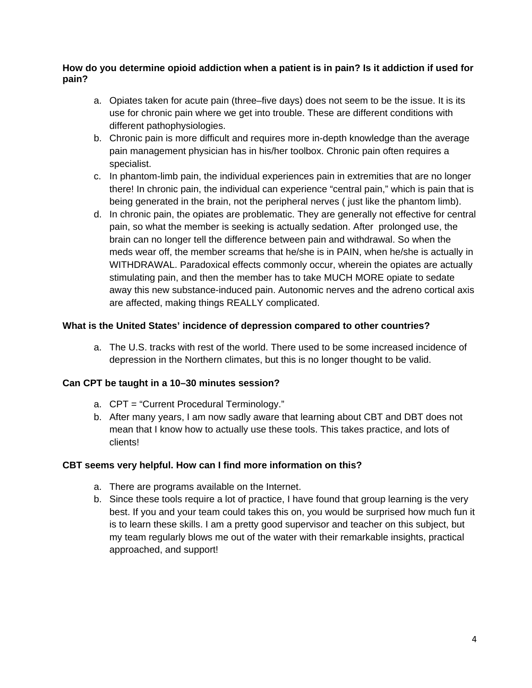## **How do you determine opioid addiction when a patient is in pain? Is it addiction if used for pain?**

- a. Opiates taken for acute pain (three–five days) does not seem to be the issue. It is its use for chronic pain where we get into trouble. These are different conditions with different pathophysiologies.
- b. Chronic pain is more difficult and requires more in-depth knowledge than the average pain management physician has in his/her toolbox. Chronic pain often requires a specialist.
- c. In phantom-limb pain, the individual experiences pain in extremities that are no longer there! In chronic pain, the individual can experience "central pain," which is pain that is being generated in the brain, not the peripheral nerves ( just like the phantom limb).
- d. In chronic pain, the opiates are problematic. They are generally not effective for central pain, so what the member is seeking is actually sedation. After prolonged use, the brain can no longer tell the difference between pain and withdrawal. So when the meds wear off, the member screams that he/she is in PAIN, when he/she is actually in WITHDRAWAL. Paradoxical effects commonly occur, wherein the opiates are actually stimulating pain, and then the member has to take MUCH MORE opiate to sedate away this new substance-induced pain. Autonomic nerves and the adreno cortical axis are affected, making things REALLY complicated.

## **What is the United States' incidence of depression compared to other countries?**

a. The U.S. tracks with rest of the world. There used to be some increased incidence of depression in the Northern climates, but this is no longer thought to be valid.

#### **Can CPT be taught in a 10–30 minutes session?**

- a. CPT = "Current Procedural Terminology."
- b. After many years, I am now sadly aware that learning about CBT and DBT does not mean that I know how to actually use these tools. This takes practice, and lots of clients!

#### **CBT seems very helpful. How can I find more information on this?**

- a. There are programs available on the Internet.
- b. Since these tools require a lot of practice, I have found that group learning is the very best. If you and your team could takes this on, you would be surprised how much fun it is to learn these skills. I am a pretty good supervisor and teacher on this subject, but my team regularly blows me out of the water with their remarkable insights, practical approached, and support!